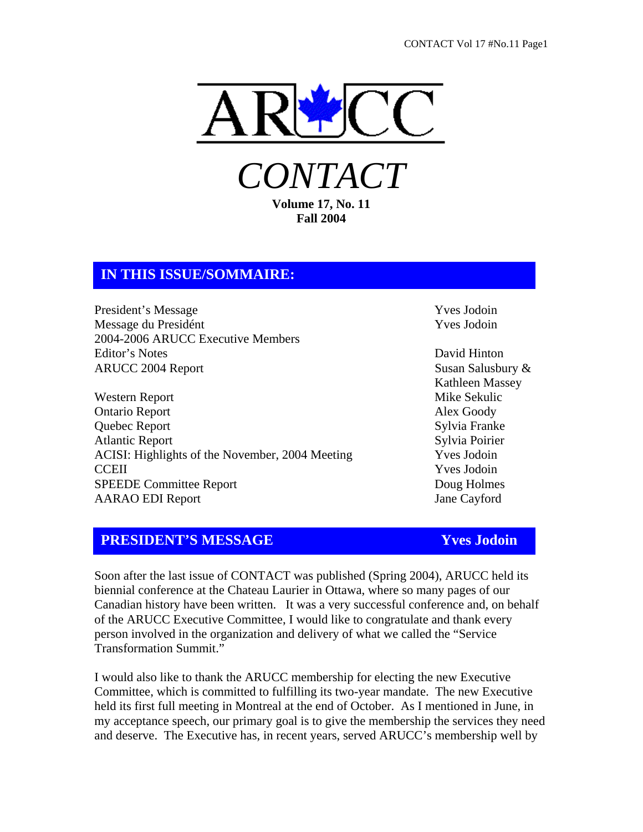

*CONTACT*  **Volume 17, No. 11** 

**Fall 2004** 

## **IN THIS ISSUE/SOMMAIRE:**

President's Message Theory and the View Yves Jodoin Message du Presidént Vves Jodoin 2004-2006 ARUCC Executive Members Editor's Notes David Hinton ARUCC 2004 Report Susan Salusbury &

Western Report Mike Sekulic Ontario Report Alex Goody Quebec Report Sylvia Franke Atlantic Report Sylvia Poirier ACISI: Highlights of the November, 2004 Meeting Yves Jodoin CCEII Yves Jodoin SPEEDE Committee Report **Doug Holmes** AARAO EDI Report Jane Cayford

Kathleen Massey

## **PRESIDENT'S MESSAGE Yves Jodoin**

Soon after the last issue of CONTACT was published (Spring 2004), ARUCC held its biennial conference at the Chateau Laurier in Ottawa, where so many pages of our Canadian history have been written. It was a very successful conference and, on behalf of the ARUCC Executive Committee, I would like to congratulate and thank every person involved in the organization and delivery of what we called the "Service Transformation Summit."

I would also like to thank the ARUCC membership for electing the new Executive Committee, which is committed to fulfilling its two-year mandate. The new Executive held its first full meeting in Montreal at the end of October. As I mentioned in June, in my acceptance speech, our primary goal is to give the membership the services they need and deserve. The Executive has, in recent years, served ARUCC's membership well by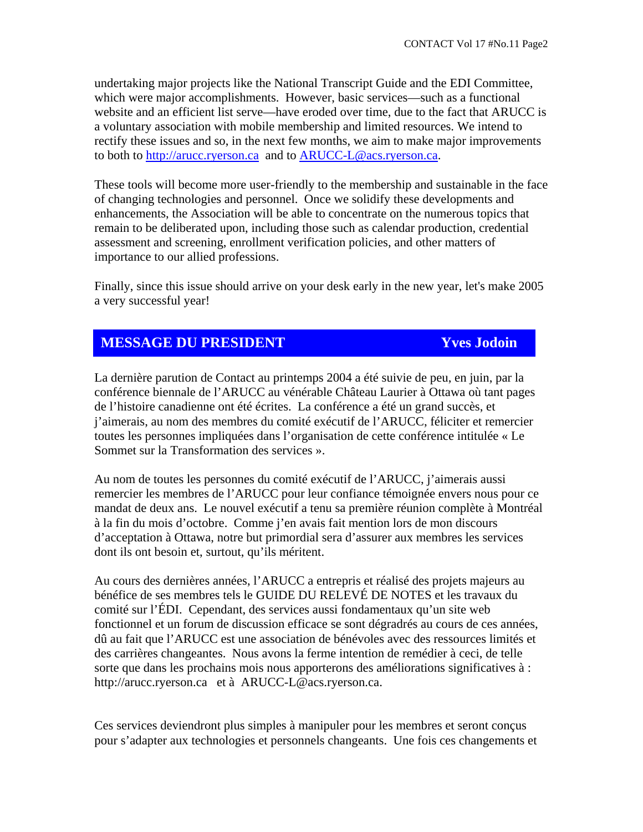undertaking major projects like the National Transcript Guide and the EDI Committee, which were major accomplishments. However, basic services—such as a functional website and an efficient list serve—have eroded over time, due to the fact that ARUCC is a voluntary association with mobile membership and limited resources. We intend to rectify these issues and so, in the next few months, we aim to make major improvements to both to http://arucc.ryerson.ca and to ARUCC-L@acs.ryerson.ca.

These tools will become more user-friendly to the membership and sustainable in the face of changing technologies and personnel. Once we solidify these developments and enhancements, the Association will be able to concentrate on the numerous topics that remain to be deliberated upon, including those such as calendar production, credential assessment and screening, enrollment verification policies, and other matters of importance to our allied professions.

Finally, since this issue should arrive on your desk early in the new year, let's make 2005 a very successful year!

## **MESSAGE DU PRESIDENT Yves Jodoin**

La dernière parution de Contact au printemps 2004 a été suivie de peu, en juin, par la conférence biennale de l'ARUCC au vénérable Château Laurier à Ottawa où tant pages de l'histoire canadienne ont été écrites. La conférence a été un grand succès, et j'aimerais, au nom des membres du comité exécutif de l'ARUCC, féliciter et remercier toutes les personnes impliquées dans l'organisation de cette conférence intitulée « Le Sommet sur la Transformation des services ».

Au nom de toutes les personnes du comité exécutif de l'ARUCC, j'aimerais aussi remercier les membres de l'ARUCC pour leur confiance témoignée envers nous pour ce mandat de deux ans. Le nouvel exécutif a tenu sa première réunion complète à Montréal à la fin du mois d'octobre. Comme j'en avais fait mention lors de mon discours d'acceptation à Ottawa, notre but primordial sera d'assurer aux membres les services dont ils ont besoin et, surtout, qu'ils méritent.

Au cours des dernières années, l'ARUCC a entrepris et réalisé des projets majeurs au bénéfice de ses membres tels le GUIDE DU RELEVÉ DE NOTES et les travaux du comité sur l'ÉDI. Cependant, des services aussi fondamentaux qu'un site web fonctionnel et un forum de discussion efficace se sont dégradrés au cours de ces années, dû au fait que l'ARUCC est une association de bénévoles avec des ressources limités et des carrières changeantes. Nous avons la ferme intention de remédier à ceci, de telle sorte que dans les prochains mois nous apporterons des améliorations significatives à : http://arucc.ryerson.ca et à ARUCC-L@acs.ryerson.ca.

Ces services deviendront plus simples à manipuler pour les membres et seront conçus pour s'adapter aux technologies et personnels changeants. Une fois ces changements et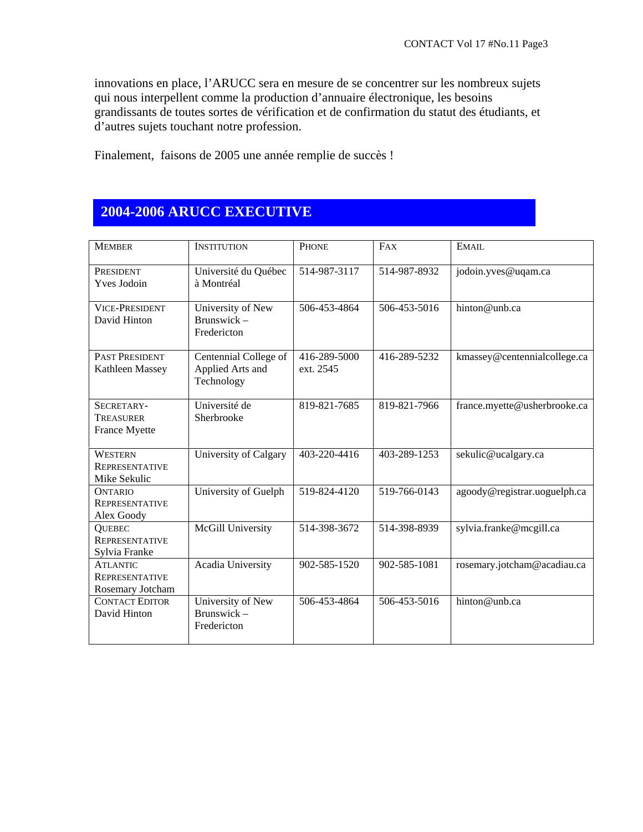innovations en place, l'ARUCC sera en mesure de se concentrer sur les nombreux sujets qui nous interpellent comme la production d'annuaire électronique, les besoins grandissants de toutes sortes de vérification et de confirmation du statut des étudiants, et d'autres sujets touchant notre profession.

Finalement, faisons de 2005 une année remplie de succès !

# **2004-2006 ARUCC EXECUTIVE**

| <b>MEMBER</b>                                                | <b>INSTITUTION</b>                                      | PHONE                     | FAX          | EMAIL                        |
|--------------------------------------------------------------|---------------------------------------------------------|---------------------------|--------------|------------------------------|
| PRESIDENT<br><b>Yves Jodoin</b>                              | Université du Québec<br>à Montréal                      | 514-987-3117              | 514-987-8932 | jodoin.yves@uqam.ca          |
| <b>VICE-PRESIDENT</b><br>David Hinton                        | University of New<br>Brunswick-<br>Fredericton          | 506-453-4864              | 506-453-5016 | hinton@unb.ca                |
| <b>PAST PRESIDENT</b><br>Kathleen Massey                     | Centennial College of<br>Applied Arts and<br>Technology | 416-289-5000<br>ext. 2545 | 416-289-5232 | kmassey@centennialcollege.ca |
| SECRETARY-<br>TREASURER<br>France Myette                     | Université de<br>Sherbrooke                             | 819-821-7685              | 819-821-7966 | france.myette@usherbrooke.ca |
| <b>WESTERN</b><br><b>REPRESENTATIVE</b><br>Mike Sekulic      | University of Calgary                                   | 403-220-4416              | 403-289-1253 | sekulic@ucalgary.ca          |
| <b>ONTARIO</b><br><b>REPRESENTATIVE</b><br>Alex Goody        | University of Guelph                                    | 519-824-4120              | 519-766-0143 | agoody@registrar.uoguelph.ca |
| <b>QUEBEC</b><br><b>REPRESENTATIVE</b><br>Sylvia Franke      | McGill University                                       | 514-398-3672              | 514-398-8939 | sylvia.franke@mcgill.ca      |
| <b>ATLANTIC</b><br><b>REPRESENTATIVE</b><br>Rosemary Jotcham | Acadia University                                       | 902-585-1520              | 902-585-1081 | rosemary.jotcham@acadiau.ca  |
| <b>CONTACT EDITOR</b><br>David Hinton                        | University of New<br>Brunswick-<br>Fredericton          | 506-453-4864              | 506-453-5016 | hinton@unb.ca                |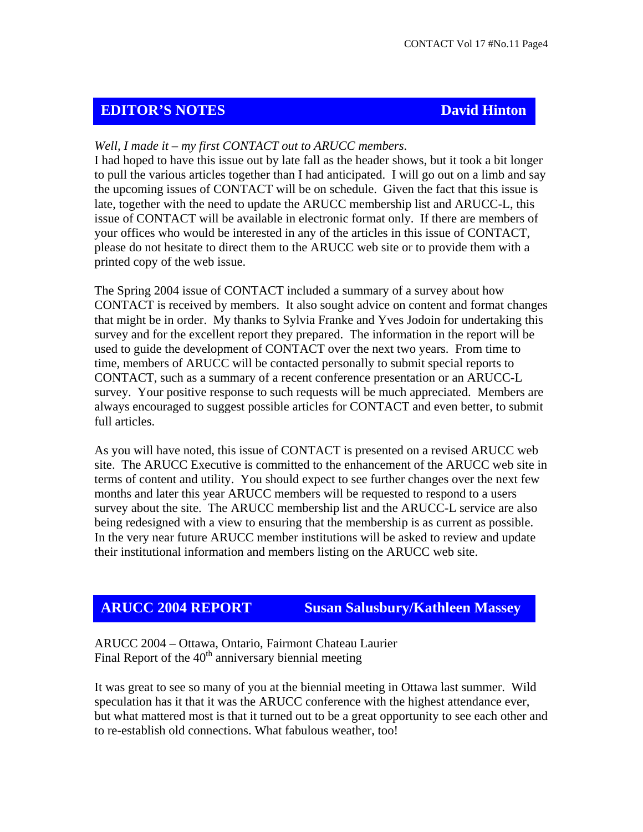## **EDITOR'S NOTES** David Hinton

## *Well, I made it – my first CONTACT out to ARUCC members*.

I had hoped to have this issue out by late fall as the header shows, but it took a bit longer to pull the various articles together than I had anticipated. I will go out on a limb and say the upcoming issues of CONTACT will be on schedule. Given the fact that this issue is late, together with the need to update the ARUCC membership list and ARUCC-L, this issue of CONTACT will be available in electronic format only. If there are members of your offices who would be interested in any of the articles in this issue of CONTACT, please do not hesitate to direct them to the ARUCC web site or to provide them with a printed copy of the web issue.

The Spring 2004 issue of CONTACT included a summary of a survey about how CONTACT is received by members. It also sought advice on content and format changes that might be in order. My thanks to Sylvia Franke and Yves Jodoin for undertaking this survey and for the excellent report they prepared. The information in the report will be used to guide the development of CONTACT over the next two years. From time to time, members of ARUCC will be contacted personally to submit special reports to CONTACT, such as a summary of a recent conference presentation or an ARUCC-L survey. Your positive response to such requests will be much appreciated. Members are always encouraged to suggest possible articles for CONTACT and even better, to submit full articles.

As you will have noted, this issue of CONTACT is presented on a revised ARUCC web site. The ARUCC Executive is committed to the enhancement of the ARUCC web site in terms of content and utility. You should expect to see further changes over the next few months and later this year ARUCC members will be requested to respond to a users survey about the site. The ARUCC membership list and the ARUCC-L service are also being redesigned with a view to ensuring that the membership is as current as possible. In the very near future ARUCC member institutions will be asked to review and update their institutional information and members listing on the ARUCC web site.

**ARUCC 2004 REPORT Susan Salusbury/Kathleen Massey**

ARUCC 2004 – Ottawa, Ontario, Fairmont Chateau Laurier Final Report of the  $40<sup>th</sup>$  anniversary biennial meeting

It was great to see so many of you at the biennial meeting in Ottawa last summer. Wild speculation has it that it was the ARUCC conference with the highest attendance ever, but what mattered most is that it turned out to be a great opportunity to see each other and to re-establish old connections. What fabulous weather, too!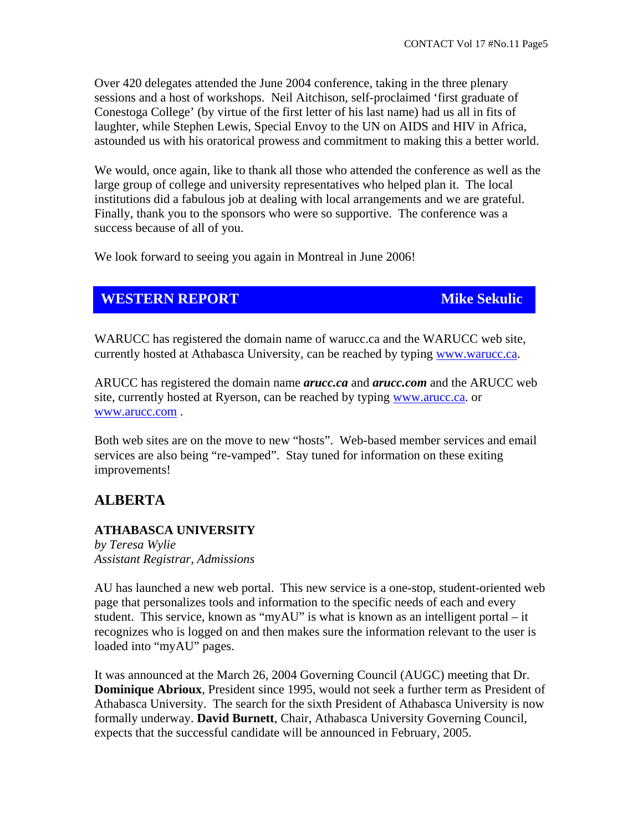Over 420 delegates attended the June 2004 conference, taking in the three plenary sessions and a host of workshops. Neil Aitchison, self-proclaimed 'first graduate of Conestoga College' (by virtue of the first letter of his last name) had us all in fits of laughter, while Stephen Lewis, Special Envoy to the UN on AIDS and HIV in Africa, astounded us with his oratorical prowess and commitment to making this a better world.

We would, once again, like to thank all those who attended the conference as well as the large group of college and university representatives who helped plan it. The local institutions did a fabulous job at dealing with local arrangements and we are grateful. Finally, thank you to the sponsors who were so supportive. The conference was a success because of all of you.

We look forward to seeing you again in Montreal in June 2006!

## **WESTERN REPORT MIKE SEKULIC MIKE SEKULIC**

WARUCC has registered the domain name of warucc.ca and the WARUCC web site, currently hosted at Athabasca University, can be reached by typing www.warucc.ca.

ARUCC has registered the domain name *arucc.ca* and *arucc.com* and the ARUCC web site, currently hosted at Ryerson, can be reached by typing www.arucc.ca. or www.arucc.com .

Both web sites are on the move to new "hosts". Web-based member services and email services are also being "re-vamped". Stay tuned for information on these exiting improvements!

## **ALBERTA**

## **ATHABASCA UNIVERSITY**

*by Teresa Wylie Assistant Registrar, Admissions* 

AU has launched a new web portal. This new service is a one-stop, student-oriented web page that personalizes tools and information to the specific needs of each and every student. This service, known as "myAU" is what is known as an intelligent portal – it recognizes who is logged on and then makes sure the information relevant to the user is loaded into "myAU" pages.

It was announced at the March 26, 2004 Governing Council (AUGC) meeting that Dr. **Dominique Abrioux**, President since 1995, would not seek a further term as President of Athabasca University. The search for the sixth President of Athabasca University is now formally underway. **David Burnett**, Chair, Athabasca University Governing Council, expects that the successful candidate will be announced in February, 2005.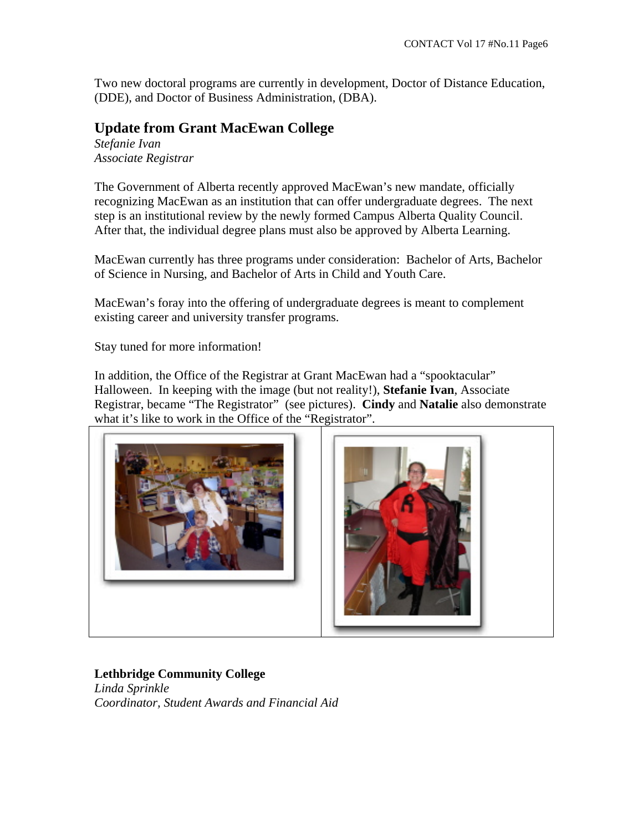Two new doctoral programs are currently in development, Doctor of Distance Education, (DDE), and Doctor of Business Administration, (DBA).

## **Update from Grant MacEwan College**

*Stefanie Ivan Associate Registrar* 

The Government of Alberta recently approved MacEwan's new mandate, officially recognizing MacEwan as an institution that can offer undergraduate degrees. The next step is an institutional review by the newly formed Campus Alberta Quality Council. After that, the individual degree plans must also be approved by Alberta Learning.

MacEwan currently has three programs under consideration: Bachelor of Arts, Bachelor of Science in Nursing, and Bachelor of Arts in Child and Youth Care.

MacEwan's foray into the offering of undergraduate degrees is meant to complement existing career and university transfer programs.

Stay tuned for more information!

In addition, the Office of the Registrar at Grant MacEwan had a "spooktacular" Halloween. In keeping with the image (but not reality!), **Stefanie Ivan**, Associate Registrar, became "The Registrator" (see pictures). **Cindy** and **Natalie** also demonstrate what it's like to work in the Office of the "Registrator".





## **Lethbridge Community College**

*Linda Sprinkle Coordinator, Student Awards and Financial Aid*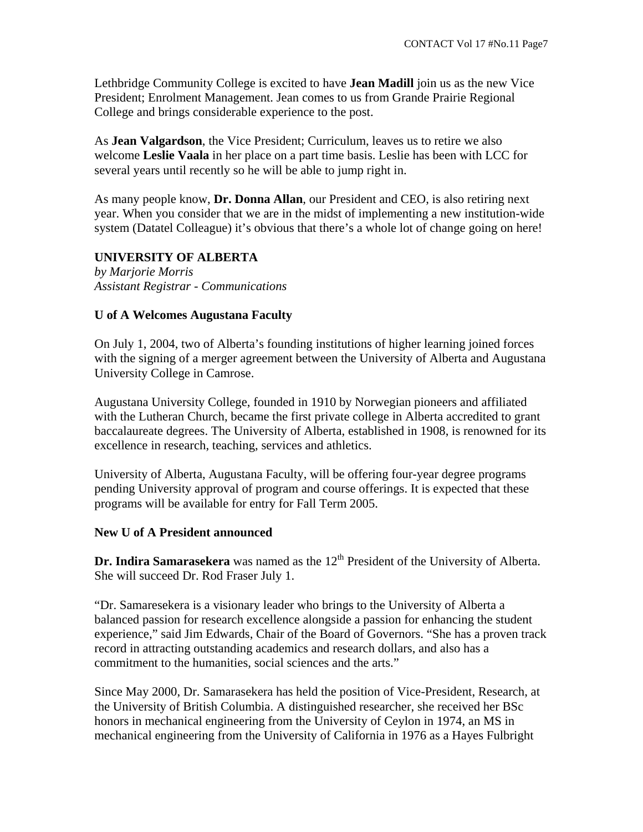Lethbridge Community College is excited to have **Jean Madill** join us as the new Vice President; Enrolment Management. Jean comes to us from Grande Prairie Regional College and brings considerable experience to the post.

As **Jean Valgardson**, the Vice President; Curriculum, leaves us to retire we also welcome **Leslie Vaala** in her place on a part time basis. Leslie has been with LCC for several years until recently so he will be able to jump right in.

As many people know, **Dr. Donna Allan**, our President and CEO, is also retiring next year. When you consider that we are in the midst of implementing a new institution-wide system (Datatel Colleague) it's obvious that there's a whole lot of change going on here!

### **UNIVERSITY OF ALBERTA**

*by Marjorie Morris Assistant Registrar - Communications* 

#### **U of A Welcomes Augustana Faculty**

On July 1, 2004, two of Alberta's founding institutions of higher learning joined forces with the signing of a merger agreement between the University of Alberta and Augustana University College in Camrose.

Augustana University College, founded in 1910 by Norwegian pioneers and affiliated with the Lutheran Church, became the first private college in Alberta accredited to grant baccalaureate degrees. The University of Alberta, established in 1908, is renowned for its excellence in research, teaching, services and athletics.

University of Alberta, Augustana Faculty, will be offering four-year degree programs pending University approval of program and course offerings. It is expected that these programs will be available for entry for Fall Term 2005.

#### **New U of A President announced**

**Dr. Indira Samarasekera** was named as the 12<sup>th</sup> President of the University of Alberta. She will succeed Dr. Rod Fraser July 1.

"Dr. Samaresekera is a visionary leader who brings to the University of Alberta a balanced passion for research excellence alongside a passion for enhancing the student experience," said Jim Edwards, Chair of the Board of Governors. "She has a proven track record in attracting outstanding academics and research dollars, and also has a commitment to the humanities, social sciences and the arts."

Since May 2000, Dr. Samarasekera has held the position of Vice-President, Research, at the University of British Columbia. A distinguished researcher, she received her BSc honors in mechanical engineering from the University of Ceylon in 1974, an MS in mechanical engineering from the University of California in 1976 as a Hayes Fulbright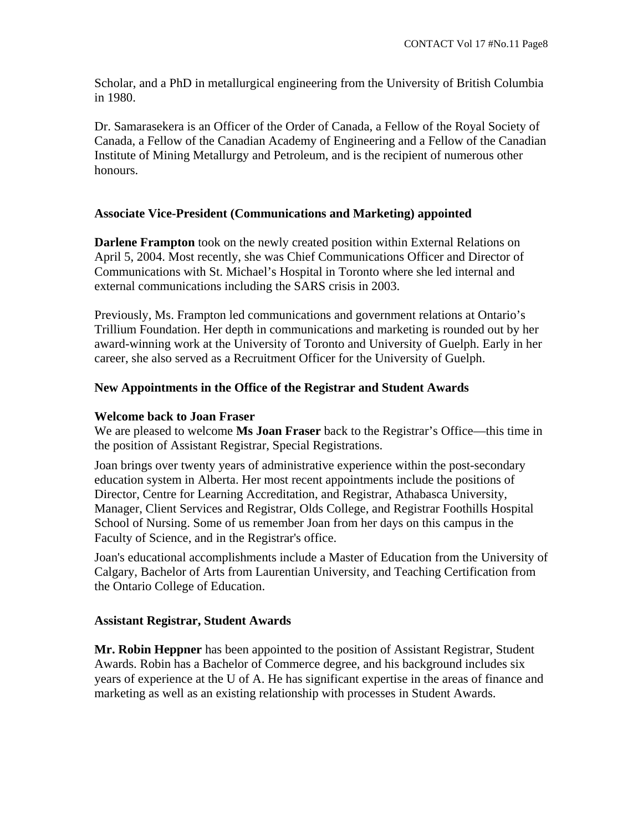Scholar, and a PhD in metallurgical engineering from the University of British Columbia in 1980.

Dr. Samarasekera is an Officer of the Order of Canada, a Fellow of the Royal Society of Canada, a Fellow of the Canadian Academy of Engineering and a Fellow of the Canadian Institute of Mining Metallurgy and Petroleum, and is the recipient of numerous other honours.

## **Associate Vice-President (Communications and Marketing) appointed**

**Darlene Frampton** took on the newly created position within External Relations on April 5, 2004. Most recently, she was Chief Communications Officer and Director of Communications with St. Michael's Hospital in Toronto where she led internal and external communications including the SARS crisis in 2003.

Previously, Ms. Frampton led communications and government relations at Ontario's Trillium Foundation. Her depth in communications and marketing is rounded out by her award-winning work at the University of Toronto and University of Guelph. Early in her career, she also served as a Recruitment Officer for the University of Guelph.

## **New Appointments in the Office of the Registrar and Student Awards**

## **Welcome back to Joan Fraser**

We are pleased to welcome **Ms Joan Fraser** back to the Registrar's Office—this time in the position of Assistant Registrar, Special Registrations.

Joan brings over twenty years of administrative experience within the post-secondary education system in Alberta. Her most recent appointments include the positions of Director, Centre for Learning Accreditation, and Registrar, Athabasca University, Manager, Client Services and Registrar, Olds College, and Registrar Foothills Hospital School of Nursing. Some of us remember Joan from her days on this campus in the Faculty of Science, and in the Registrar's office.

Joan's educational accomplishments include a Master of Education from the University of Calgary, Bachelor of Arts from Laurentian University, and Teaching Certification from the Ontario College of Education.

## **Assistant Registrar, Student Awards**

**Mr. Robin Heppner** has been appointed to the position of Assistant Registrar, Student Awards. Robin has a Bachelor of Commerce degree, and his background includes six years of experience at the U of A. He has significant expertise in the areas of finance and marketing as well as an existing relationship with processes in Student Awards.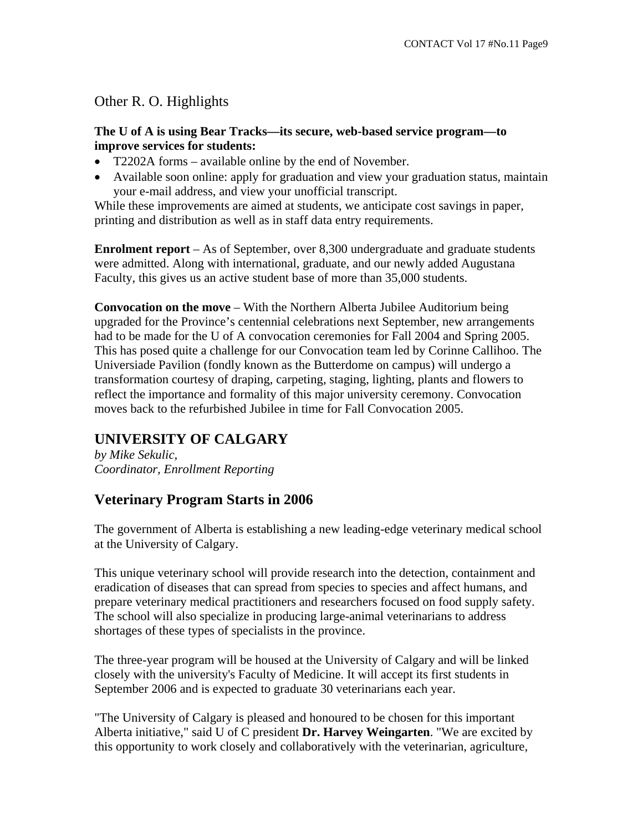Other R. O. Highlights

## **The U of A is using Bear Tracks—its secure, web-based service program—to improve services for students:**

- T2202A forms available online by the end of November.
- Available soon online: apply for graduation and view your graduation status, maintain your e-mail address, and view your unofficial transcript.

While these improvements are aimed at students, we anticipate cost savings in paper, printing and distribution as well as in staff data entry requirements.

**Enrolment report** – As of September, over 8,300 undergraduate and graduate students were admitted. Along with international, graduate, and our newly added Augustana Faculty, this gives us an active student base of more than 35,000 students.

**Convocation on the move** – With the Northern Alberta Jubilee Auditorium being upgraded for the Province's centennial celebrations next September, new arrangements had to be made for the U of A convocation ceremonies for Fall 2004 and Spring 2005. This has posed quite a challenge for our Convocation team led by Corinne Callihoo. The Universiade Pavilion (fondly known as the Butterdome on campus) will undergo a transformation courtesy of draping, carpeting, staging, lighting, plants and flowers to reflect the importance and formality of this major university ceremony. Convocation moves back to the refurbished Jubilee in time for Fall Convocation 2005.

# **UNIVERSITY OF CALGARY**

*by Mike Sekulic, Coordinator, Enrollment Reporting* 

# **Veterinary Program Starts in 2006**

The government of Alberta is establishing a new leading-edge veterinary medical school at the University of Calgary.

This unique veterinary school will provide research into the detection, containment and eradication of diseases that can spread from species to species and affect humans, and prepare veterinary medical practitioners and researchers focused on food supply safety. The school will also specialize in producing large-animal veterinarians to address shortages of these types of specialists in the province.

The three-year program will be housed at the University of Calgary and will be linked closely with the university's Faculty of Medicine. It will accept its first students in September 2006 and is expected to graduate 30 veterinarians each year.

"The University of Calgary is pleased and honoured to be chosen for this important Alberta initiative," said U of C president **Dr. Harvey Weingarten**. "We are excited by this opportunity to work closely and collaboratively with the veterinarian, agriculture,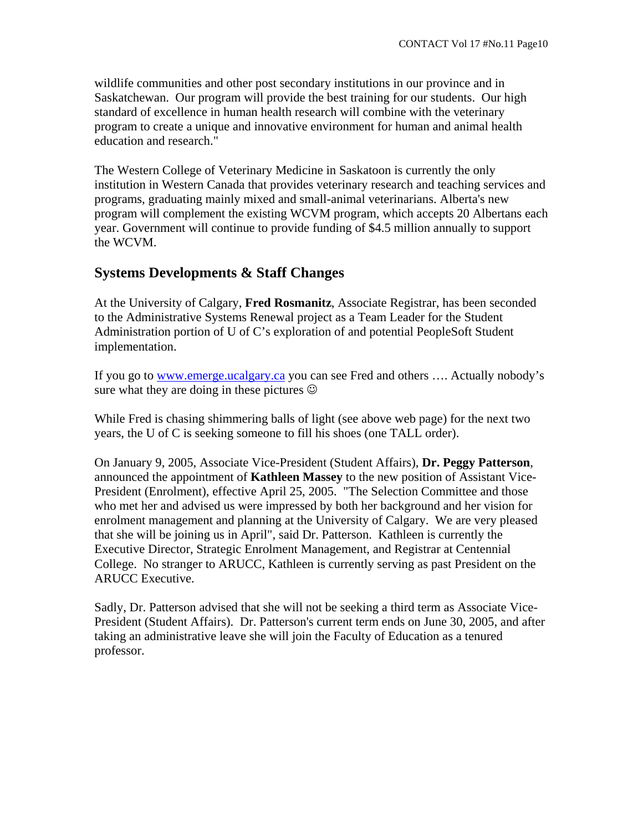wildlife communities and other post secondary institutions in our province and in Saskatchewan. Our program will provide the best training for our students. Our high standard of excellence in human health research will combine with the veterinary program to create a unique and innovative environment for human and animal health education and research."

The Western College of Veterinary Medicine in Saskatoon is currently the only institution in Western Canada that provides veterinary research and teaching services and programs, graduating mainly mixed and small-animal veterinarians. Alberta's new program will complement the existing WCVM program, which accepts 20 Albertans each year. Government will continue to provide funding of \$4.5 million annually to support the WCVM.

## **Systems Developments & Staff Changes**

At the University of Calgary, **Fred Rosmanitz**, Associate Registrar, has been seconded to the Administrative Systems Renewal project as a Team Leader for the Student Administration portion of U of C's exploration of and potential PeopleSoft Student implementation.

If you go to www.emerge.ucalgary.ca you can see Fred and others …. Actually nobody's sure what they are doing in these pictures  $\odot$ 

While Fred is chasing shimmering balls of light (see above web page) for the next two years, the U of C is seeking someone to fill his shoes (one TALL order).

On January 9, 2005, Associate Vice-President (Student Affairs), **Dr. Peggy Patterson**, announced the appointment of **Kathleen Massey** to the new position of Assistant Vice-President (Enrolment), effective April 25, 2005. "The Selection Committee and those who met her and advised us were impressed by both her background and her vision for enrolment management and planning at the University of Calgary. We are very pleased that she will be joining us in April", said Dr. Patterson. Kathleen is currently the Executive Director, Strategic Enrolment Management, and Registrar at Centennial College. No stranger to ARUCC, Kathleen is currently serving as past President on the ARUCC Executive.

Sadly, Dr. Patterson advised that she will not be seeking a third term as Associate Vice-President (Student Affairs). Dr. Patterson's current term ends on June 30, 2005, and after taking an administrative leave she will join the Faculty of Education as a tenured professor.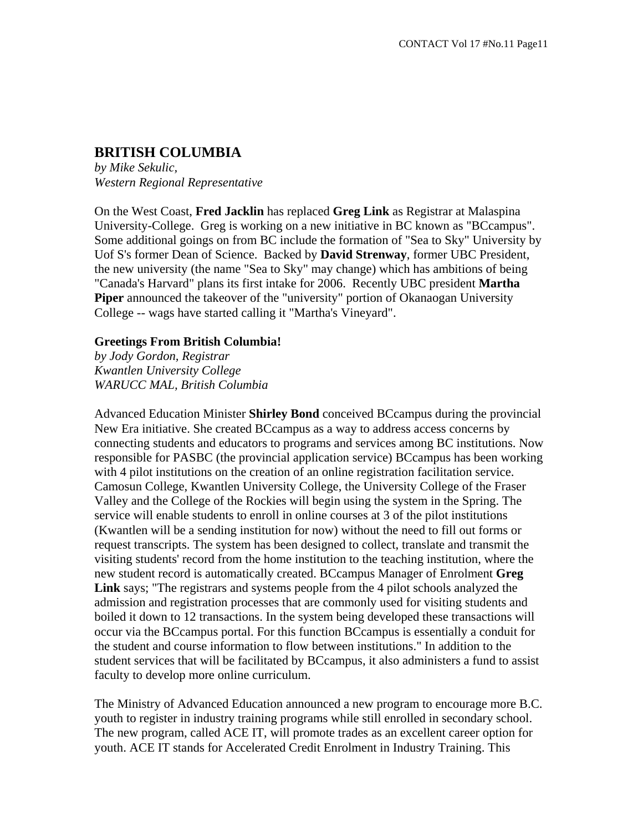## **BRITISH COLUMBIA**

*by Mike Sekulic, Western Regional Representative* 

On the West Coast, **Fred Jacklin** has replaced **Greg Link** as Registrar at Malaspina University-College. Greg is working on a new initiative in BC known as "BCcampus". Some additional goings on from BC include the formation of "Sea to Sky" University by Uof S's former Dean of Science. Backed by **David Strenway**, former UBC President, the new university (the name "Sea to Sky" may change) which has ambitions of being "Canada's Harvard" plans its first intake for 2006. Recently UBC president **Martha Piper** announced the takeover of the "university" portion of Okanaogan University College -- wags have started calling it "Martha's Vineyard".

## **Greetings From British Columbia!**

*by Jody Gordon, Registrar Kwantlen University College WARUCC MAL, British Columbia* 

Advanced Education Minister **Shirley Bond** conceived BCcampus during the provincial New Era initiative. She created BCcampus as a way to address access concerns by connecting students and educators to programs and services among BC institutions. Now responsible for PASBC (the provincial application service) BCcampus has been working with 4 pilot institutions on the creation of an online registration facilitation service. Camosun College, Kwantlen University College, the University College of the Fraser Valley and the College of the Rockies will begin using the system in the Spring. The service will enable students to enroll in online courses at 3 of the pilot institutions (Kwantlen will be a sending institution for now) without the need to fill out forms or request transcripts. The system has been designed to collect, translate and transmit the visiting students' record from the home institution to the teaching institution, where the new student record is automatically created. BCcampus Manager of Enrolment **Greg Link** says; "The registrars and systems people from the 4 pilot schools analyzed the admission and registration processes that are commonly used for visiting students and boiled it down to 12 transactions. In the system being developed these transactions will occur via the BCcampus portal. For this function BCcampus is essentially a conduit for the student and course information to flow between institutions." In addition to the student services that will be facilitated by BCcampus, it also administers a fund to assist faculty to develop more online curriculum.

The Ministry of Advanced Education announced a new program to encourage more B.C. youth to register in industry training programs while still enrolled in secondary school. The new program, called ACE IT, will promote trades as an excellent career option for youth. ACE IT stands for Accelerated Credit Enrolment in Industry Training. This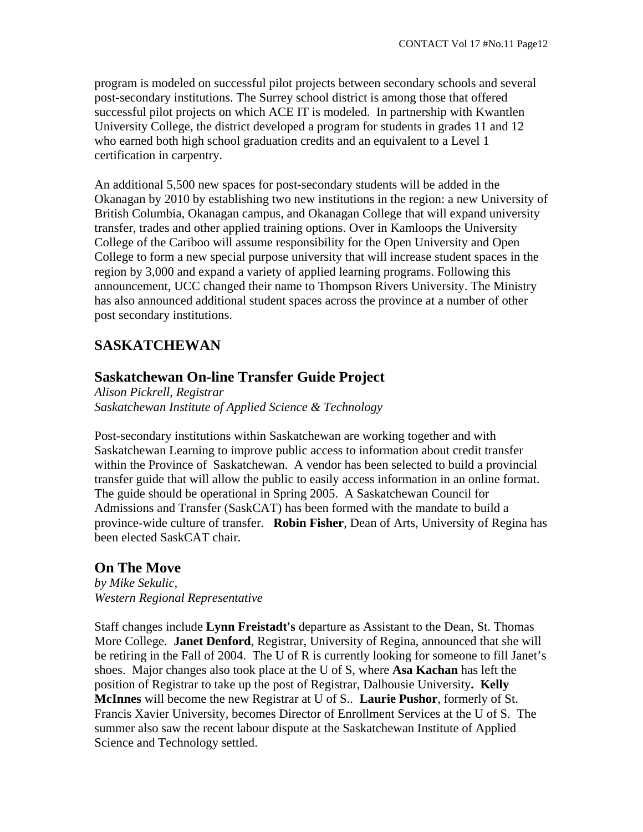program is modeled on successful pilot projects between secondary schools and several post-secondary institutions. The Surrey school district is among those that offered successful pilot projects on which ACE IT is modeled. In partnership with Kwantlen University College, the district developed a program for students in grades 11 and 12 who earned both high school graduation credits and an equivalent to a Level 1 certification in carpentry.

An additional 5,500 new spaces for post-secondary students will be added in the Okanagan by 2010 by establishing two new institutions in the region: a new University of British Columbia, Okanagan campus, and Okanagan College that will expand university transfer, trades and other applied training options. Over in Kamloops the University College of the Cariboo will assume responsibility for the Open University and Open College to form a new special purpose university that will increase student spaces in the region by 3,000 and expand a variety of applied learning programs. Following this announcement, UCC changed their name to Thompson Rivers University. The Ministry has also announced additional student spaces across the province at a number of other post secondary institutions.

# **SASKATCHEWAN**

## **Saskatchewan On-line Transfer Guide Project**

*Alison Pickrell, Registrar Saskatchewan Institute of Applied Science & Technology* 

Post-secondary institutions within Saskatchewan are working together and with Saskatchewan Learning to improve public access to information about credit transfer within the Province of Saskatchewan. A vendor has been selected to build a provincial transfer guide that will allow the public to easily access information in an online format. The guide should be operational in Spring 2005. A Saskatchewan Council for Admissions and Transfer (SaskCAT) has been formed with the mandate to build a province-wide culture of transfer. **Robin Fisher**, Dean of Arts, University of Regina has been elected SaskCAT chair.

# **On The Move**

*by Mike Sekulic, Western Regional Representative* 

Staff changes include **Lynn Freistadt's** departure as Assistant to the Dean, St. Thomas More College. **Janet Denford**, Registrar, University of Regina, announced that she will be retiring in the Fall of 2004. The U of R is currently looking for someone to fill Janet's shoes. Major changes also took place at the U of S, where **Asa Kachan** has left the position of Registrar to take up the post of Registrar, Dalhousie University**. Kelly McInnes** will become the new Registrar at U of S.. **Laurie Pushor**, formerly of St. Francis Xavier University, becomes Director of Enrollment Services at the U of S. The summer also saw the recent labour dispute at the Saskatchewan Institute of Applied Science and Technology settled.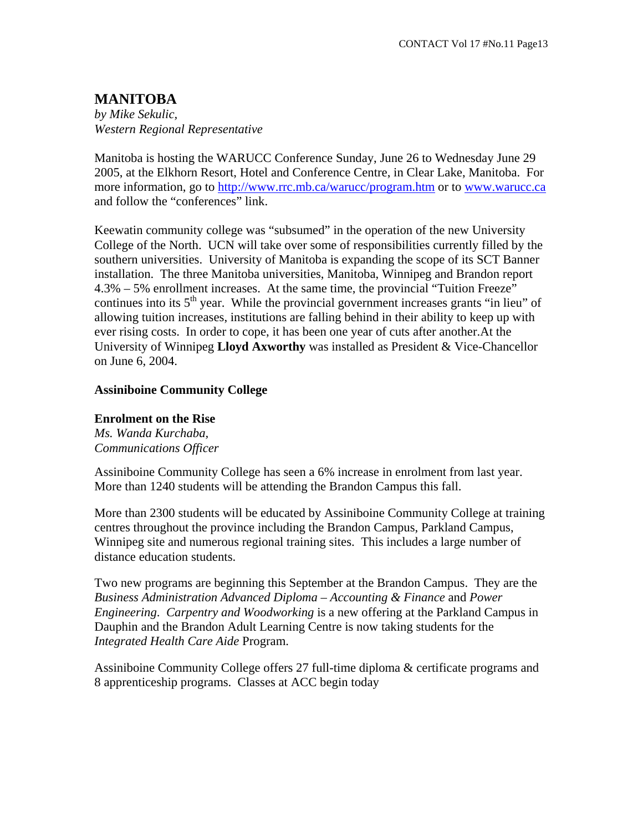# **MANITOBA**

*by Mike Sekulic, Western Regional Representative* 

Manitoba is hosting the WARUCC Conference Sunday, June 26 to Wednesday June 29 2005, at the Elkhorn Resort, Hotel and Conference Centre, in Clear Lake, Manitoba. For more information, go to http://www.rrc.mb.ca/warucc/program.htm or to www.warucc.ca and follow the "conferences" link.

Keewatin community college was "subsumed" in the operation of the new University College of the North. UCN will take over some of responsibilities currently filled by the southern universities. University of Manitoba is expanding the scope of its SCT Banner installation. The three Manitoba universities, Manitoba, Winnipeg and Brandon report 4.3% – 5% enrollment increases. At the same time, the provincial "Tuition Freeze" continues into its  $5<sup>th</sup>$  year. While the provincial government increases grants "in lieu" of allowing tuition increases, institutions are falling behind in their ability to keep up with ever rising costs. In order to cope, it has been one year of cuts after another.At the University of Winnipeg **Lloyd Axworthy** was installed as President & Vice-Chancellor on June 6, 2004.

### **Assiniboine Community College**

#### **Enrolment on the Rise**

*Ms. Wanda Kurchaba, Communications Officer*

Assiniboine Community College has seen a 6% increase in enrolment from last year. More than 1240 students will be attending the Brandon Campus this fall.

More than 2300 students will be educated by Assiniboine Community College at training centres throughout the province including the Brandon Campus, Parkland Campus, Winnipeg site and numerous regional training sites. This includes a large number of distance education students.

Two new programs are beginning this September at the Brandon Campus. They are the *Business Administration Advanced Diploma – Accounting & Finance* and *Power Engineering*. *Carpentry and Woodworking* is a new offering at the Parkland Campus in Dauphin and the Brandon Adult Learning Centre is now taking students for the *Integrated Health Care Aide* Program.

Assiniboine Community College offers 27 full-time diploma & certificate programs and 8 apprenticeship programs. Classes at ACC begin today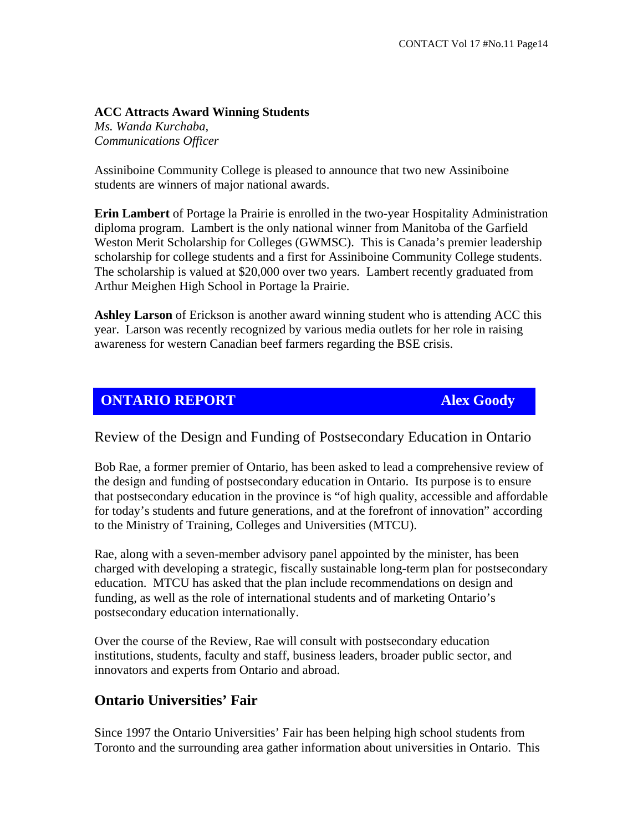## **ACC Attracts Award Winning Students**

*Ms. Wanda Kurchaba, Communications Officer*

Assiniboine Community College is pleased to announce that two new Assiniboine students are winners of major national awards.

**Erin Lambert** of Portage la Prairie is enrolled in the two-year Hospitality Administration diploma program. Lambert is the only national winner from Manitoba of the Garfield Weston Merit Scholarship for Colleges (GWMSC). This is Canada's premier leadership scholarship for college students and a first for Assiniboine Community College students. The scholarship is valued at \$20,000 over two years. Lambert recently graduated from Arthur Meighen High School in Portage la Prairie.

**Ashley Larson** of Erickson is another award winning student who is attending ACC this year. Larson was recently recognized by various media outlets for her role in raising awareness for western Canadian beef farmers regarding the BSE crisis.

## **ONTARIO REPORT Alex Goody**

Review of the Design and Funding of Postsecondary Education in Ontario

Bob Rae, a former premier of Ontario, has been asked to lead a comprehensive review of the design and funding of postsecondary education in Ontario. Its purpose is to ensure that postsecondary education in the province is "of high quality, accessible and affordable for today's students and future generations, and at the forefront of innovation" according to the Ministry of Training, Colleges and Universities (MTCU).

Rae, along with a seven-member advisory panel appointed by the minister, has been charged with developing a strategic, fiscally sustainable long-term plan for postsecondary education. MTCU has asked that the plan include recommendations on design and funding, as well as the role of international students and of marketing Ontario's postsecondary education internationally.

Over the course of the Review, Rae will consult with postsecondary education institutions, students, faculty and staff, business leaders, broader public sector, and innovators and experts from Ontario and abroad.

## **Ontario Universities' Fair**

Since 1997 the Ontario Universities' Fair has been helping high school students from Toronto and the surrounding area gather information about universities in Ontario. This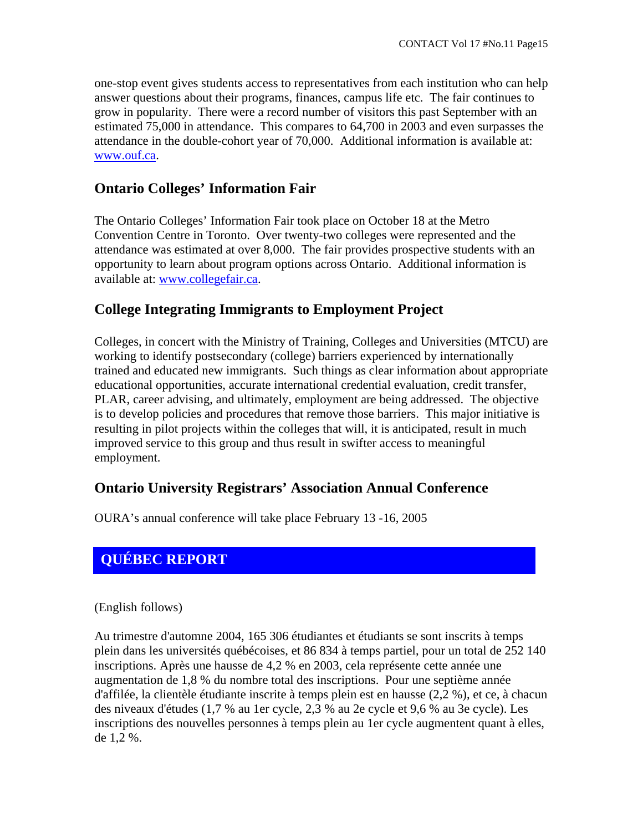one-stop event gives students access to representatives from each institution who can help answer questions about their programs, finances, campus life etc. The fair continues to grow in popularity. There were a record number of visitors this past September with an estimated 75,000 in attendance. This compares to 64,700 in 2003 and even surpasses the attendance in the double-cohort year of 70,000. Additional information is available at: www.ouf.ca.

## **Ontario Colleges' Information Fair**

The Ontario Colleges' Information Fair took place on October 18 at the Metro Convention Centre in Toronto. Over twenty-two colleges were represented and the attendance was estimated at over 8,000. The fair provides prospective students with an opportunity to learn about program options across Ontario. Additional information is available at: www.collegefair.ca.

## **College Integrating Immigrants to Employment Project**

Colleges, in concert with the Ministry of Training, Colleges and Universities (MTCU) are working to identify postsecondary (college) barriers experienced by internationally trained and educated new immigrants. Such things as clear information about appropriate educational opportunities, accurate international credential evaluation, credit transfer, PLAR, career advising, and ultimately, employment are being addressed. The objective is to develop policies and procedures that remove those barriers. This major initiative is resulting in pilot projects within the colleges that will, it is anticipated, result in much improved service to this group and thus result in swifter access to meaningful employment.

## **Ontario University Registrars' Association Annual Conference**

OURA's annual conference will take place February 13 -16, 2005

# **QUÉBEC REPORT**

(English follows)

Au trimestre d'automne 2004, 165 306 étudiantes et étudiants se sont inscrits à temps plein dans les universités québécoises, et 86 834 à temps partiel, pour un total de 252 140 inscriptions. Après une hausse de 4,2 % en 2003, cela représente cette année une augmentation de 1,8 % du nombre total des inscriptions. Pour une septième année d'affilée, la clientèle étudiante inscrite à temps plein est en hausse (2,2 %), et ce, à chacun des niveaux d'études (1,7 % au 1er cycle, 2,3 % au 2e cycle et 9,6 % au 3e cycle). Les inscriptions des nouvelles personnes à temps plein au 1er cycle augmentent quant à elles, de 1,2 %.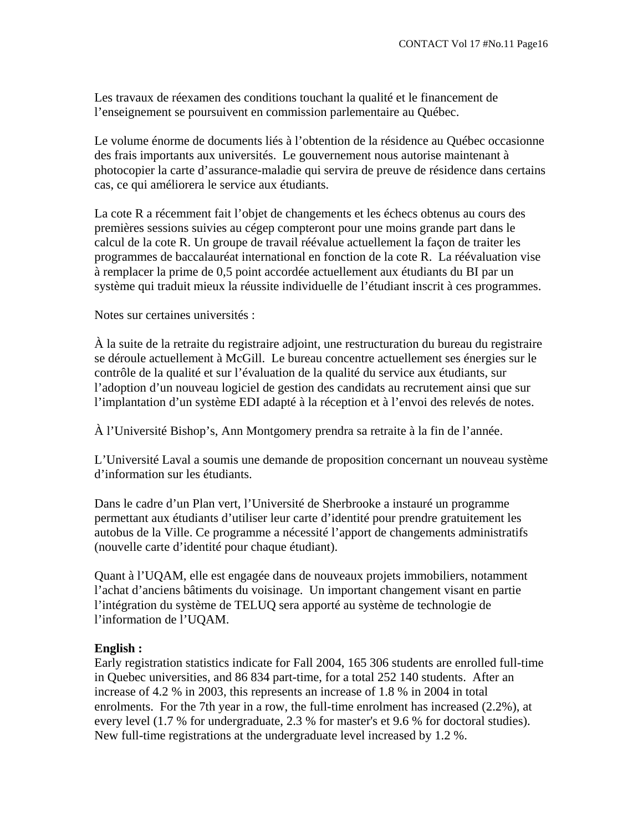Les travaux de réexamen des conditions touchant la qualité et le financement de l'enseignement se poursuivent en commission parlementaire au Québec.

Le volume énorme de documents liés à l'obtention de la résidence au Québec occasionne des frais importants aux universités. Le gouvernement nous autorise maintenant à photocopier la carte d'assurance-maladie qui servira de preuve de résidence dans certains cas, ce qui améliorera le service aux étudiants.

La cote R a récemment fait l'objet de changements et les échecs obtenus au cours des premières sessions suivies au cégep compteront pour une moins grande part dans le calcul de la cote R. Un groupe de travail réévalue actuellement la façon de traiter les programmes de baccalauréat international en fonction de la cote R. La réévaluation vise à remplacer la prime de 0,5 point accordée actuellement aux étudiants du BI par un système qui traduit mieux la réussite individuelle de l'étudiant inscrit à ces programmes.

Notes sur certaines universités :

À la suite de la retraite du registraire adjoint, une restructuration du bureau du registraire se déroule actuellement à McGill. Le bureau concentre actuellement ses énergies sur le contrôle de la qualité et sur l'évaluation de la qualité du service aux étudiants, sur l'adoption d'un nouveau logiciel de gestion des candidats au recrutement ainsi que sur l'implantation d'un système EDI adapté à la réception et à l'envoi des relevés de notes.

À l'Université Bishop's, Ann Montgomery prendra sa retraite à la fin de l'année.

L'Université Laval a soumis une demande de proposition concernant un nouveau système d'information sur les étudiants.

Dans le cadre d'un Plan vert, l'Université de Sherbrooke a instauré un programme permettant aux étudiants d'utiliser leur carte d'identité pour prendre gratuitement les autobus de la Ville. Ce programme a nécessité l'apport de changements administratifs (nouvelle carte d'identité pour chaque étudiant).

Quant à l'UQAM, elle est engagée dans de nouveaux projets immobiliers, notamment l'achat d'anciens bâtiments du voisinage. Un important changement visant en partie l'intégration du système de TELUQ sera apporté au système de technologie de l'information de l'UQAM.

#### **English :**

Early registration statistics indicate for Fall 2004, 165 306 students are enrolled full-time in Quebec universities, and 86 834 part-time, for a total 252 140 students. After an increase of 4.2 % in 2003, this represents an increase of 1.8 % in 2004 in total enrolments. For the 7th year in a row, the full-time enrolment has increased (2.2%), at every level (1.7 % for undergraduate, 2.3 % for master's et 9.6 % for doctoral studies). New full-time registrations at the undergraduate level increased by 1.2 %.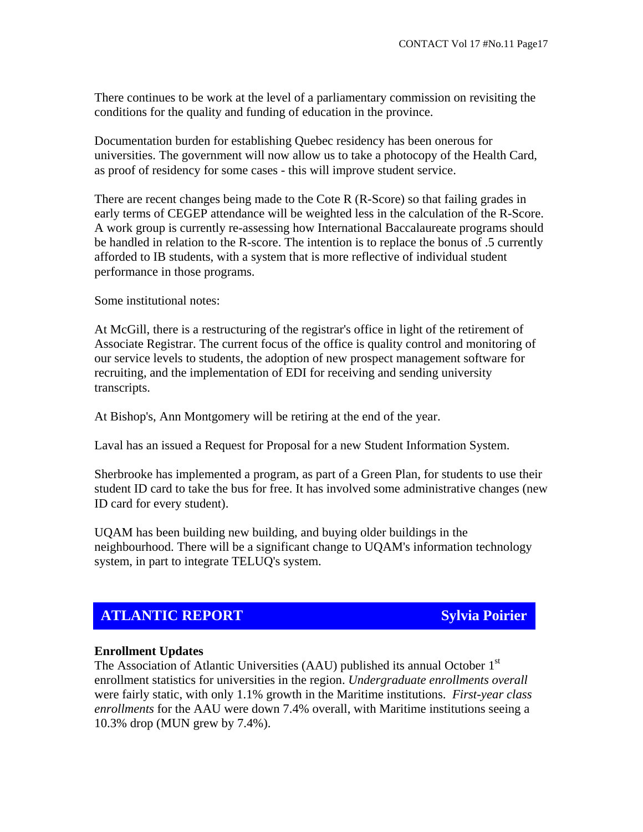There continues to be work at the level of a parliamentary commission on revisiting the conditions for the quality and funding of education in the province.

Documentation burden for establishing Quebec residency has been onerous for universities. The government will now allow us to take a photocopy of the Health Card, as proof of residency for some cases - this will improve student service.

There are recent changes being made to the Cote R (R-Score) so that failing grades in early terms of CEGEP attendance will be weighted less in the calculation of the R-Score. A work group is currently re-assessing how International Baccalaureate programs should be handled in relation to the R-score. The intention is to replace the bonus of .5 currently afforded to IB students, with a system that is more reflective of individual student performance in those programs.

Some institutional notes:

At McGill, there is a restructuring of the registrar's office in light of the retirement of Associate Registrar. The current focus of the office is quality control and monitoring of our service levels to students, the adoption of new prospect management software for recruiting, and the implementation of EDI for receiving and sending university transcripts.

At Bishop's, Ann Montgomery will be retiring at the end of the year.

Laval has an issued a Request for Proposal for a new Student Information System.

Sherbrooke has implemented a program, as part of a Green Plan, for students to use their student ID card to take the bus for free. It has involved some administrative changes (new ID card for every student).

UQAM has been building new building, and buying older buildings in the neighbourhood. There will be a significant change to UQAM's information technology system, in part to integrate TELUQ's system.

## **ATLANTIC REPORT Sylvia Poirier**

#### **Enrollment Updates**

The Association of Atlantic Universities (AAU) published its annual October  $1<sup>st</sup>$ enrollment statistics for universities in the region. *Undergraduate enrollments overall* were fairly static, with only 1.1% growth in the Maritime institutions. *First-year class enrollments* for the AAU were down 7.4% overall, with Maritime institutions seeing a 10.3% drop (MUN grew by 7.4%).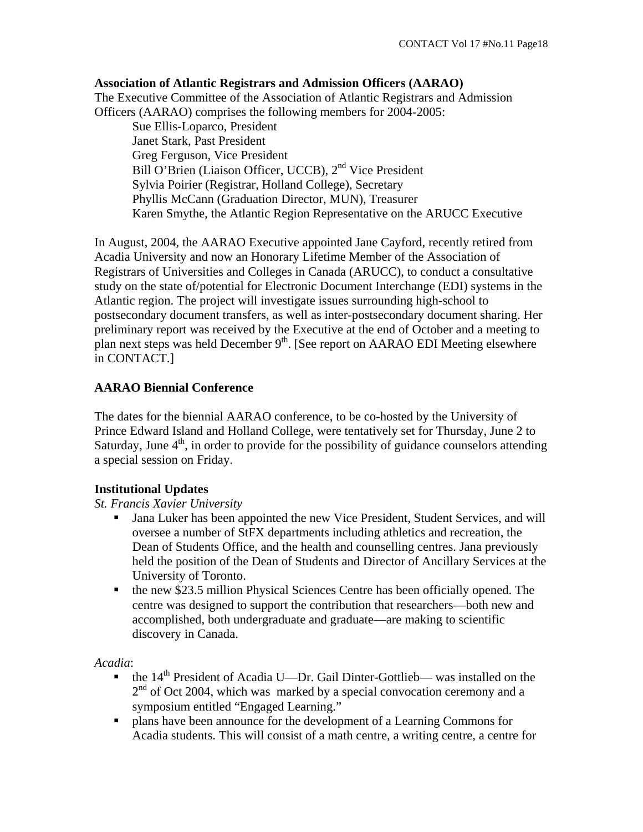**Association of Atlantic Registrars and Admission Officers (AARAO)**  The Executive Committee of the Association of Atlantic Registrars and Admission Officers (AARAO) comprises the following members for 2004-2005:

 Sue Ellis-Loparco, President Janet Stark, Past President Greg Ferguson, Vice President Bill O'Brien (Liaison Officer, UCCB), 2<sup>nd</sup> Vice President Sylvia Poirier (Registrar, Holland College), Secretary Phyllis McCann (Graduation Director, MUN), Treasurer Karen Smythe, the Atlantic Region Representative on the ARUCC Executive

In August, 2004, the AARAO Executive appointed Jane Cayford, recently retired from Acadia University and now an Honorary Lifetime Member of the Association of Registrars of Universities and Colleges in Canada (ARUCC), to conduct a consultative study on the state of/potential for Electronic Document Interchange (EDI) systems in the Atlantic region. The project will investigate issues surrounding high-school to postsecondary document transfers, as well as inter-postsecondary document sharing. Her preliminary report was received by the Executive at the end of October and a meeting to plan next steps was held December  $9<sup>th</sup>$ . [See report on AARAO EDI Meeting elsewhere in CONTACT.]

## **AARAO Biennial Conference**

The dates for the biennial AARAO conference, to be co-hosted by the University of Prince Edward Island and Holland College, were tentatively set for Thursday, June 2 to Saturday, June  $4<sup>th</sup>$ , in order to provide for the possibility of guidance counselors attending a special session on Friday.

## **Institutional Updates**

## *St. Francis Xavier University*

- Jana Luker has been appointed the new Vice President, Student Services, and will oversee a number of StFX departments including athletics and recreation, the Dean of Students Office, and the health and counselling centres. Jana previously held the position of the Dean of Students and Director of Ancillary Services at the University of Toronto.
- the new \$23.5 million Physical Sciences Centre has been officially opened. The centre was designed to support the contribution that researchers—both new and accomplished, both undergraduate and graduate—are making to scientific discovery in Canada.

#### *Acadia*:

- $\bullet$  the 14<sup>th</sup> President of Acadia U—Dr. Gail Dinter-Gottlieb— was installed on the  $2<sup>nd</sup>$  of Oct 2004, which was marked by a special convocation ceremony and a symposium entitled "Engaged Learning."
- plans have been announce for the development of a Learning Commons for Acadia students. This will consist of a math centre, a writing centre, a centre for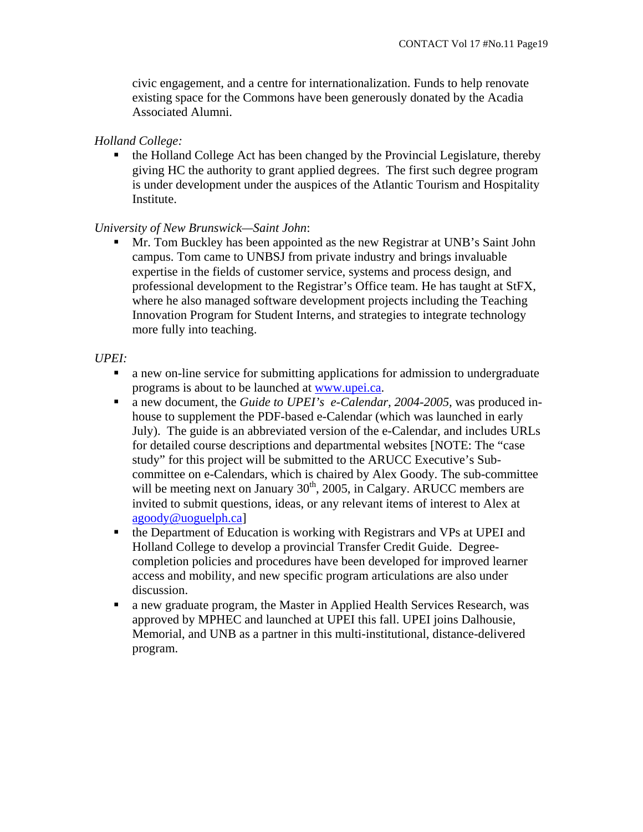civic engagement, and a centre for internationalization. Funds to help renovate existing space for the Commons have been generously donated by the Acadia Associated Alumni.

#### *Holland College:*

 the Holland College Act has been changed by the Provincial Legislature, thereby giving HC the authority to grant applied degrees. The first such degree program is under development under the auspices of the Atlantic Tourism and Hospitality Institute.

### *University of New Brunswick—Saint John*:

 Mr. Tom Buckley has been appointed as the new Registrar at UNB's Saint John campus. Tom came to UNBSJ from private industry and brings invaluable expertise in the fields of customer service, systems and process design, and professional development to the Registrar's Office team. He has taught at StFX, where he also managed software development projects including the Teaching Innovation Program for Student Interns, and strategies to integrate technology more fully into teaching.

#### *UPEI:*

- a new on-line service for submitting applications for admission to undergraduate programs is about to be launched at www.upei.ca.
- a new document, the *Guide to UPEI's e-Calendar, 2004-2005,* was produced inhouse to supplement the PDF-based e-Calendar (which was launched in early July). The guide is an abbreviated version of the e-Calendar, and includes URLs for detailed course descriptions and departmental websites [NOTE: The "case study" for this project will be submitted to the ARUCC Executive's Subcommittee on e-Calendars, which is chaired by Alex Goody. The sub-committee will be meeting next on January  $30<sup>th</sup>$ , 2005, in Calgary. ARUCC members are invited to submit questions, ideas, or any relevant items of interest to Alex at agoody@uoguelph.ca]
- the Department of Education is working with Registrars and VPs at UPEI and Holland College to develop a provincial Transfer Credit Guide. Degreecompletion policies and procedures have been developed for improved learner access and mobility, and new specific program articulations are also under discussion.
- a new graduate program, the Master in Applied Health Services Research, was approved by MPHEC and launched at UPEI this fall. UPEI joins Dalhousie, Memorial, and UNB as a partner in this multi-institutional, distance-delivered program.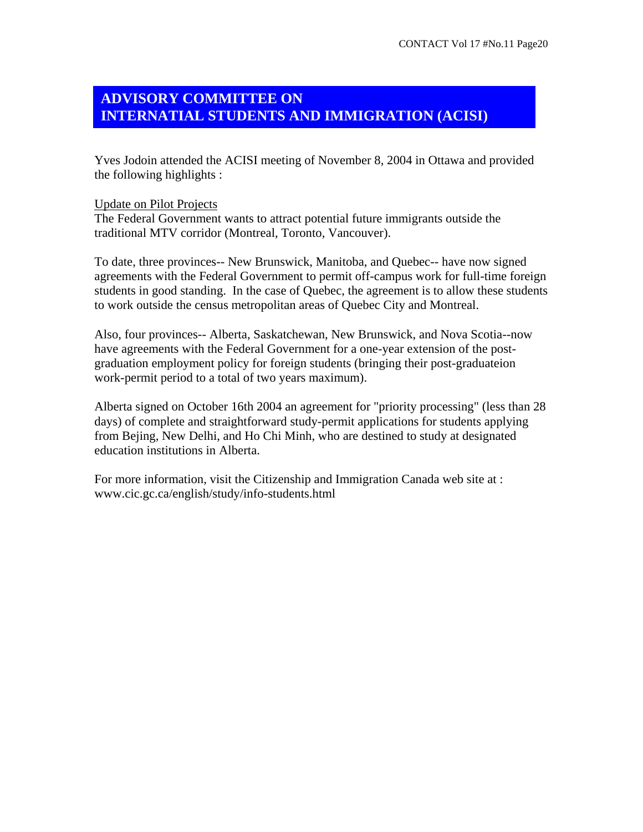## **ADVISORY COMMITTEE ON INTERNATIAL STUDENTS AND IMMIGRATION (ACISI)**

Yves Jodoin attended the ACISI meeting of November 8, 2004 in Ottawa and provided the following highlights :

#### Update on Pilot Projects

The Federal Government wants to attract potential future immigrants outside the traditional MTV corridor (Montreal, Toronto, Vancouver).

To date, three provinces-- New Brunswick, Manitoba, and Quebec-- have now signed agreements with the Federal Government to permit off-campus work for full-time foreign students in good standing. In the case of Quebec, the agreement is to allow these students to work outside the census metropolitan areas of Quebec City and Montreal.

Also, four provinces-- Alberta, Saskatchewan, New Brunswick, and Nova Scotia--now have agreements with the Federal Government for a one-year extension of the postgraduation employment policy for foreign students (bringing their post-graduateion work-permit period to a total of two years maximum).

Alberta signed on October 16th 2004 an agreement for "priority processing" (less than 28 days) of complete and straightforward study-permit applications for students applying from Bejing, New Delhi, and Ho Chi Minh, who are destined to study at designated education institutions in Alberta.

For more information, visit the Citizenship and Immigration Canada web site at : www.cic.gc.ca/english/study/info-students.html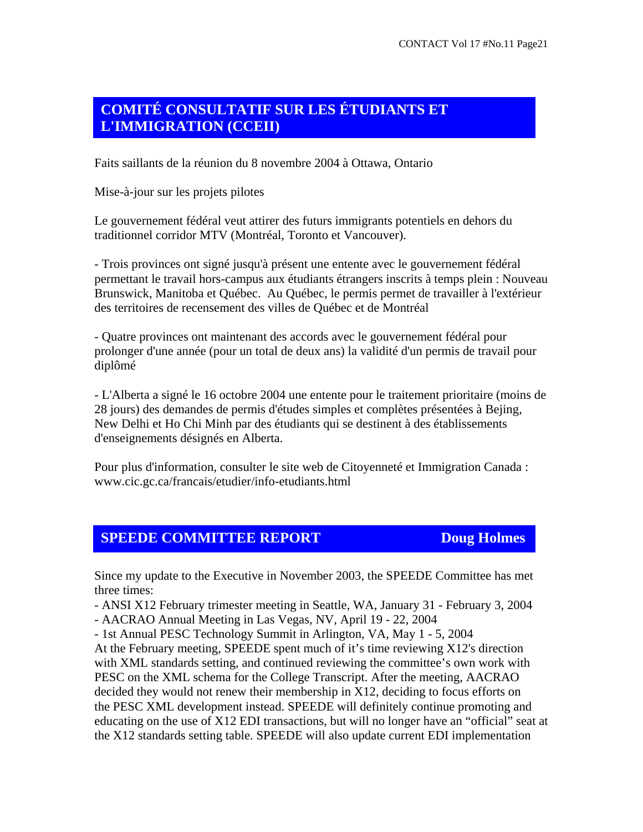# **COMITÉ CONSULTATIF SUR LES ÉTUDIANTS ET L'IMMIGRATION (CCEII)**

Faits saillants de la réunion du 8 novembre 2004 à Ottawa, Ontario

Mise-à-jour sur les projets pilotes

Le gouvernement fédéral veut attirer des futurs immigrants potentiels en dehors du traditionnel corridor MTV (Montréal, Toronto et Vancouver).

- Trois provinces ont signé jusqu'à présent une entente avec le gouvernement fédéral permettant le travail hors-campus aux étudiants étrangers inscrits à temps plein : Nouveau Brunswick, Manitoba et Québec. Au Québec, le permis permet de travailler à l'extérieur des territoires de recensement des villes de Québec et de Montréal

- Quatre provinces ont maintenant des accords avec le gouvernement fédéral pour prolonger d'une année (pour un total de deux ans) la validité d'un permis de travail pour diplômé

- L'Alberta a signé le 16 octobre 2004 une entente pour le traitement prioritaire (moins de 28 jours) des demandes de permis d'études simples et complètes présentées à Bejing, New Delhi et Ho Chi Minh par des étudiants qui se destinent à des établissements d'enseignements désignés en Alberta.

Pour plus d'information, consulter le site web de Citoyenneté et Immigration Canada : www.cic.gc.ca/francais/etudier/info-etudiants.html

## **SPEEDE COMMITTEE REPORT Doug Holmes**

Since my update to the Executive in November 2003, the SPEEDE Committee has met three times:

- ANSI X12 February trimester meeting in Seattle, WA, January 31 - February 3, 2004

- AACRAO Annual Meeting in Las Vegas, NV, April 19 - 22, 2004

- 1st Annual PESC Technology Summit in Arlington, VA, May 1 - 5, 2004

At the February meeting, SPEEDE spent much of it's time reviewing X12's direction with XML standards setting, and continued reviewing the committee's own work with PESC on the XML schema for the College Transcript. After the meeting, AACRAO decided they would not renew their membership in X12, deciding to focus efforts on the PESC XML development instead. SPEEDE will definitely continue promoting and educating on the use of X12 EDI transactions, but will no longer have an "official" seat at the X12 standards setting table. SPEEDE will also update current EDI implementation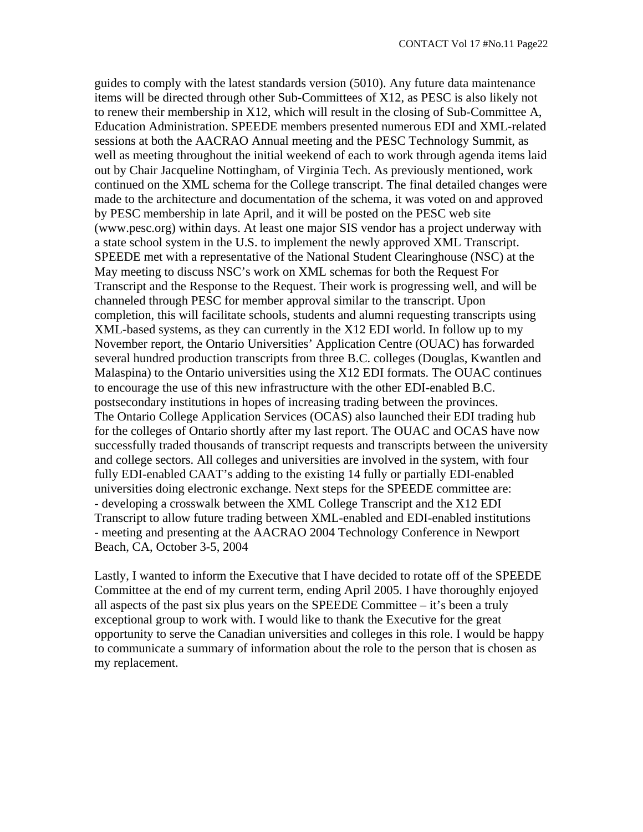guides to comply with the latest standards version (5010). Any future data maintenance items will be directed through other Sub-Committees of X12, as PESC is also likely not to renew their membership in X12, which will result in the closing of Sub-Committee A, Education Administration. SPEEDE members presented numerous EDI and XML-related sessions at both the AACRAO Annual meeting and the PESC Technology Summit, as well as meeting throughout the initial weekend of each to work through agenda items laid out by Chair Jacqueline Nottingham, of Virginia Tech. As previously mentioned, work continued on the XML schema for the College transcript. The final detailed changes were made to the architecture and documentation of the schema, it was voted on and approved by PESC membership in late April, and it will be posted on the PESC web site (www.pesc.org) within days. At least one major SIS vendor has a project underway with a state school system in the U.S. to implement the newly approved XML Transcript. SPEEDE met with a representative of the National Student Clearinghouse (NSC) at the May meeting to discuss NSC's work on XML schemas for both the Request For Transcript and the Response to the Request. Their work is progressing well, and will be channeled through PESC for member approval similar to the transcript. Upon completion, this will facilitate schools, students and alumni requesting transcripts using XML-based systems, as they can currently in the X12 EDI world. In follow up to my November report, the Ontario Universities' Application Centre (OUAC) has forwarded several hundred production transcripts from three B.C. colleges (Douglas, Kwantlen and Malaspina) to the Ontario universities using the X12 EDI formats. The OUAC continues to encourage the use of this new infrastructure with the other EDI-enabled B.C. postsecondary institutions in hopes of increasing trading between the provinces. The Ontario College Application Services (OCAS) also launched their EDI trading hub for the colleges of Ontario shortly after my last report. The OUAC and OCAS have now successfully traded thousands of transcript requests and transcripts between the university and college sectors. All colleges and universities are involved in the system, with four fully EDI-enabled CAAT's adding to the existing 14 fully or partially EDI-enabled universities doing electronic exchange. Next steps for the SPEEDE committee are: - developing a crosswalk between the XML College Transcript and the X12 EDI Transcript to allow future trading between XML-enabled and EDI-enabled institutions - meeting and presenting at the AACRAO 2004 Technology Conference in Newport Beach, CA, October 3-5, 2004

Lastly, I wanted to inform the Executive that I have decided to rotate off of the SPEEDE Committee at the end of my current term, ending April 2005. I have thoroughly enjoyed all aspects of the past six plus years on the SPEEDE Committee – it's been a truly exceptional group to work with. I would like to thank the Executive for the great opportunity to serve the Canadian universities and colleges in this role. I would be happy to communicate a summary of information about the role to the person that is chosen as my replacement.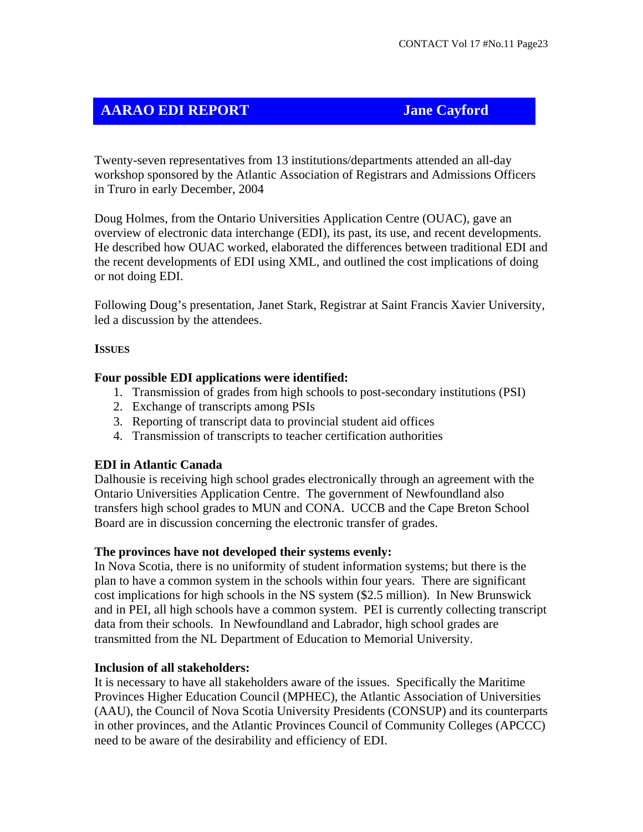# **AARAO EDI REPORT Jane Cayford**

Twenty-seven representatives from 13 institutions/departments attended an all-day workshop sponsored by the Atlantic Association of Registrars and Admissions Officers in Truro in early December, 2004

Doug Holmes, from the Ontario Universities Application Centre (OUAC), gave an overview of electronic data interchange (EDI), its past, its use, and recent developments. He described how OUAC worked, elaborated the differences between traditional EDI and the recent developments of EDI using XML, and outlined the cost implications of doing or not doing EDI.

Following Doug's presentation, Janet Stark, Registrar at Saint Francis Xavier University, led a discussion by the attendees.

### **ISSUES**

### **Four possible EDI applications were identified:**

- 1. Transmission of grades from high schools to post-secondary institutions (PSI)
- 2. Exchange of transcripts among PSIs
- 3. Reporting of transcript data to provincial student aid offices
- 4. Transmission of transcripts to teacher certification authorities

## **EDI in Atlantic Canada**

Dalhousie is receiving high school grades electronically through an agreement with the Ontario Universities Application Centre. The government of Newfoundland also transfers high school grades to MUN and CONA. UCCB and the Cape Breton School Board are in discussion concerning the electronic transfer of grades.

## **The provinces have not developed their systems evenly:**

In Nova Scotia, there is no uniformity of student information systems; but there is the plan to have a common system in the schools within four years. There are significant cost implications for high schools in the NS system (\$2.5 million). In New Brunswick and in PEI, all high schools have a common system. PEI is currently collecting transcript data from their schools. In Newfoundland and Labrador, high school grades are transmitted from the NL Department of Education to Memorial University.

## **Inclusion of all stakeholders:**

It is necessary to have all stakeholders aware of the issues. Specifically the Maritime Provinces Higher Education Council (MPHEC), the Atlantic Association of Universities (AAU), the Council of Nova Scotia University Presidents (CONSUP) and its counterparts in other provinces, and the Atlantic Provinces Council of Community Colleges (APCCC) need to be aware of the desirability and efficiency of EDI.